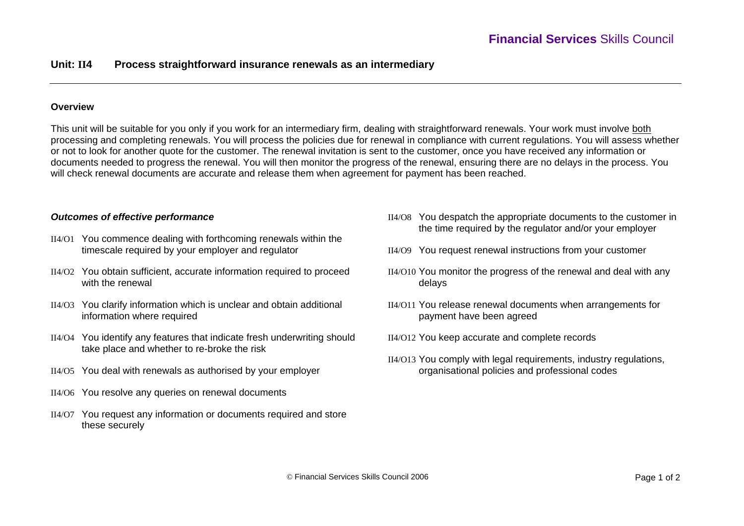### **Overview**

This unit will be suitable for you only if you work for an intermediary firm, dealing with straightforward renewals. Your work must involve both processing and completing renewals. You will process the policies due for renewal in compliance with current regulations. You will assess whether or not to look for another quote for the customer. The renewal invitation is sent to the customer, once you have received any information or documents needed to progress the renewal. You will then monitor the progress of the renewal, ensuring there are no delays in the process. You will check renewal documents are accurate and release them when agreement for payment has been reached.

# *Outcomes of effective performance*

- II4/O1 You commence dealing with forthcoming renewals within the timescale required by your employer and regulator
- II4/O2 You obtain sufficient, accurate information required to proceed with the renewal
- II4/O3 You clarify information which is unclear and obtain additional information where required
- II4/O4 You identify any features that indicate fresh underwriting should take place and whether to re-broke the risk
- II4/O5 You deal with renewals as authorised by your employer
- II4/O6 You resolve any queries on renewal documents
- II4/O7 You request any information or documents required and store these securely
- II4/O8 You despatch the appropriate documents to the customer in the time required by the regulator and/or your employer
- II4/O9 You request renewal instructions from your customer
- II4/O10 You monitor the progress of the renewal and deal with any delays
- II4/O11 You release renewal documents when arrangements for payment have been agreed
- II4/O12 You keep accurate and complete records
- II4/O13 You comply with legal requirements, industry regulations, organisational policies and professional codes